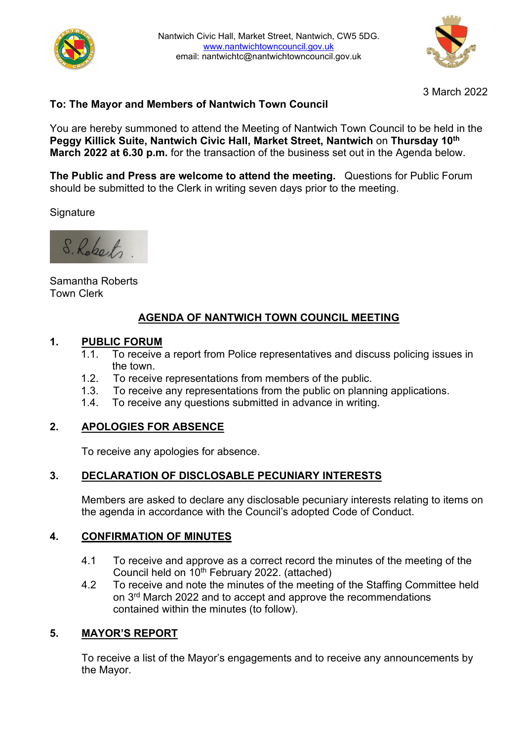



3 March 2022

# **To: The Mayor and Members of Nantwich Town Council**

You are hereby summoned to attend the Meeting of Nantwich Town Council to be held in the **Peggy Killick Suite, Nantwich Civic Hall, Market Street, Nantwich** on **Thursday 10th March 2022 at 6.30 p.m.** for the transaction of the business set out in the Agenda below.

**The Public and Press are welcome to attend the meeting.** Questions for Public Forum should be submitted to the Clerk in writing seven days prior to the meeting.

**Signature** 

S. Roberts.

Samantha Roberts Town Clerk

# **AGENDA OF NANTWICH TOWN COUNCIL MEETING**

# **1. PUBLIC FORUM**

- To receive a report from Police representatives and discuss policing issues in the town.
- 1.2. To receive representations from members of the public.
- 1.3. To receive any representations from the public on planning applications.
- 1.4. To receive any questions submitted in advance in writing.

## **2. APOLOGIES FOR ABSENCE**

To receive any apologies for absence.

## **3. DECLARATION OF DISCLOSABLE PECUNIARY INTERESTS**

Members are asked to declare any disclosable pecuniary interests relating to items on the agenda in accordance with the Council's adopted Code of Conduct.

## **4. CONFIRMATION OF MINUTES**

- 4.1 To receive and approve as a correct record the minutes of the meeting of the Council held on 10th February 2022. (attached)
- 4.2 To receive and note the minutes of the meeting of the Staffing Committee held on 3<sup>rd</sup> March 2022 and to accept and approve the recommendations contained within the minutes (to follow).

## **5. MAYOR'S REPORT**

To receive a list of the Mayor's engagements and to receive any announcements by the Mayor.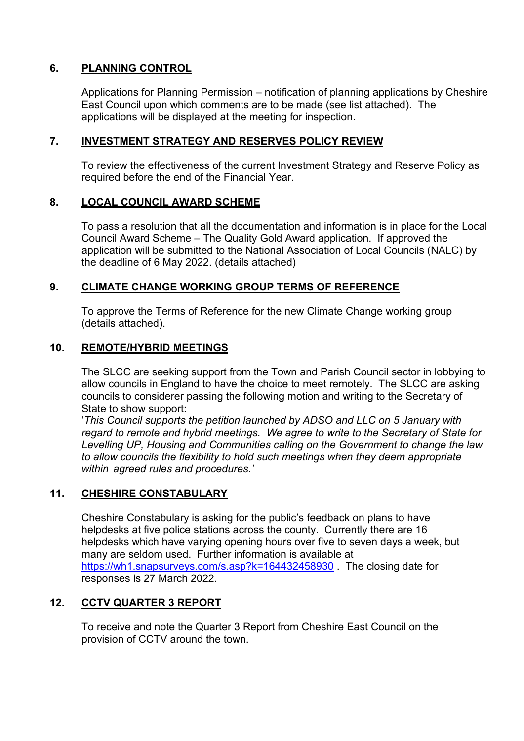# **6. PLANNING CONTROL**

Applications for Planning Permission – notification of planning applications by Cheshire East Council upon which comments are to be made (see list attached). The applications will be displayed at the meeting for inspection.

### **7. INVESTMENT STRATEGY AND RESERVES POLICY REVIEW**

To review the effectiveness of the current Investment Strategy and Reserve Policy as required before the end of the Financial Year.

#### **8. LOCAL COUNCIL AWARD SCHEME**

To pass a resolution that all the documentation and information is in place for the Local Council Award Scheme – The Quality Gold Award application. If approved the application will be submitted to the National Association of Local Councils (NALC) by the deadline of 6 May 2022. (details attached)

#### **9. CLIMATE CHANGE WORKING GROUP TERMS OF REFERENCE**

To approve the Terms of Reference for the new Climate Change working group (details attached).

#### **10. REMOTE/HYBRID MEETINGS**

The SLCC are seeking support from the Town and Parish Council sector in lobbying to allow councils in England to have the choice to meet remotely. The SLCC are asking councils to considerer passing the following motion and writing to the Secretary of State to show support:

'*This Council supports the petition launched by ADSO and LLC on 5 January with regard to remote and hybrid meetings. We agree to write to the Secretary of State for Levelling UP, Housing and Communities calling on the Government to change the law to allow councils the flexibility to hold such meetings when they deem appropriate within agreed rules and procedures.'*

## **11. CHESHIRE CONSTABULARY**

Cheshire Constabulary is asking for the public's feedback on plans to have helpdesks at five police stations across the county. Currently there are 16 helpdesks which have varying opening hours over five to seven days a week, but many are seldom used. Further information is available at <https://wh1.snapsurveys.com/s.asp?k=164432458930> . The closing date for responses is 27 March 2022.

#### **12. CCTV QUARTER 3 REPORT**

To receive and note the Quarter 3 Report from Cheshire East Council on the provision of CCTV around the town.